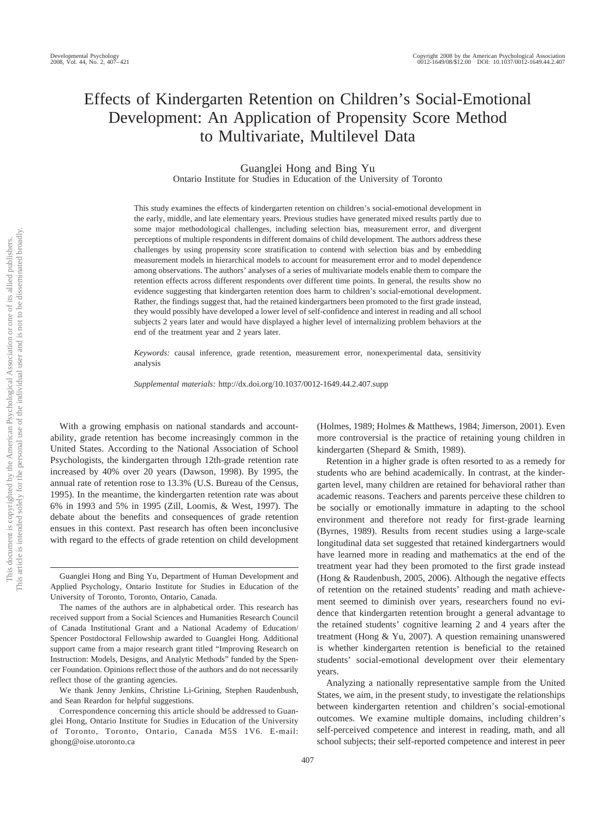# Effects of Kindergarten Retention on Children's Social-Emotional Development: An Application of Propensity Score Method to Multivariate, Multilevel Data

Guanglei Hong and Bing Yu

Ontario Institute for Studies in Education of the University of Toronto

This study examines the effects of kindergarten retention on children's social-emotional development in the early, middle, and late elementary years. Previous studies have generated mixed results partly due to some major methodological challenges, including selection bias, measurement error, and divergent perceptions of multiple respondents in different domains of child development. The authors address these challenges by using propensity score stratification to contend with selection bias and by embedding measurement models in hierarchical models to account for measurement error and to model dependence among observations. The authors' analyses of a series of multivariate models enable them to compare the retention effects across different respondents over different time points. In general, the results show no evidence suggesting that kindergarten retention does harm to children's social-emotional development. Rather, the findings suggest that, had the retained kindergartners been promoted to the first grade instead, they would possibly have developed a lower level of self-confidence and interest in reading and all school subjects 2 years later and would have displayed a higher level of internalizing problem behaviors at the end of the treatment year and 2 years later.

*Keywords:* causal inference, grade retention, measurement error, nonexperimental data, sensitivity analysis

*Supplemental materials:* http://dx.doi.org/10.1037/0012-1649.44.2.407.supp

With a growing emphasis on national standards and accountability, grade retention has become increasingly common in the United States. According to the National Association of School Psychologists, the kindergarten through 12th-grade retention rate increased by 40% over 20 years (Dawson, 1998). By 1995, the annual rate of retention rose to 13.3% (U.S. Bureau of the Census, 1995). In the meantime, the kindergarten retention rate was about 6% in 1993 and 5% in 1995 (Zill, Loomis, & West, 1997). The debate about the benefits and consequences of grade retention ensues in this context. Past research has often been inconclusive with regard to the effects of grade retention on child development

We thank Jenny Jenkins, Christine Li-Grining, Stephen Raudenbush, and Sean Reardon for helpful suggestions.

(Holmes, 1989; Holmes & Matthews, 1984; Jimerson, 2001). Even more controversial is the practice of retaining young children in kindergarten (Shepard & Smith, 1989).

Retention in a higher grade is often resorted to as a remedy for students who are behind academically. In contrast, at the kindergarten level, many children are retained for behavioral rather than academic reasons. Teachers and parents perceive these children to be socially or emotionally immature in adapting to the school environment and therefore not ready for first-grade learning (Byrnes, 1989). Results from recent studies using a large-scale longitudinal data set suggested that retained kindergartners would have learned more in reading and mathematics at the end of the treatment year had they been promoted to the first grade instead (Hong & Raudenbush, 2005, 2006). Although the negative effects of retention on the retained students' reading and math achievement seemed to diminish over years, researchers found no evidence that kindergarten retention brought a general advantage to the retained students' cognitive learning 2 and 4 years after the treatment (Hong & Yu, 2007). A question remaining unanswered is whether kindergarten retention is beneficial to the retained students' social-emotional development over their elementary years.

Analyzing a nationally representative sample from the United States, we aim, in the present study, to investigate the relationships between kindergarten retention and children's social-emotional outcomes. We examine multiple domains, including children's self-perceived competence and interest in reading, math, and all school subjects; their self-reported competence and interest in peer

Guanglei Hong and Bing Yu, Department of Human Development and Applied Psychology, Ontario Institute for Studies in Education of the University of Toronto, Toronto, Ontario, Canada.

The names of the authors are in alphabetical order. This research has received support from a Social Sciences and Humanities Research Council of Canada Institutional Grant and a National Academy of Education/ Spencer Postdoctoral Fellowship awarded to Guanglei Hong. Additional support came from a major research grant titled "Improving Research on Instruction: Models, Designs, and Analytic Methods" funded by the Spencer Foundation. Opinions reflect those of the authors and do not necessarily reflect those of the granting agencies.

Correspondence concerning this article should be addressed to Guanglei Hong, Ontario Institute for Studies in Education of the University of Toronto, Toronto, Ontario, Canada M5S 1V6. E-mail: ghong@oise.utoronto.ca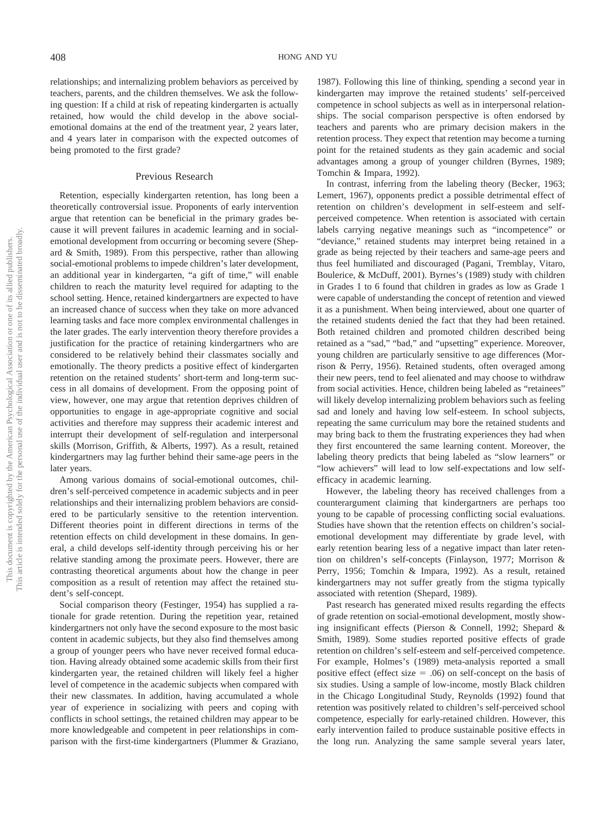relationships; and internalizing problem behaviors as perceived by teachers, parents, and the children themselves. We ask the following question: If a child at risk of repeating kindergarten is actually retained, how would the child develop in the above socialemotional domains at the end of the treatment year, 2 years later, and 4 years later in comparison with the expected outcomes of being promoted to the first grade?

## Previous Research

Retention, especially kindergarten retention, has long been a theoretically controversial issue. Proponents of early intervention argue that retention can be beneficial in the primary grades because it will prevent failures in academic learning and in socialemotional development from occurring or becoming severe (Shepard & Smith, 1989). From this perspective, rather than allowing social-emotional problems to impede children's later development, an additional year in kindergarten, "a gift of time," will enable children to reach the maturity level required for adapting to the school setting. Hence, retained kindergartners are expected to have an increased chance of success when they take on more advanced learning tasks and face more complex environmental challenges in the later grades. The early intervention theory therefore provides a justification for the practice of retaining kindergartners who are considered to be relatively behind their classmates socially and emotionally. The theory predicts a positive effect of kindergarten retention on the retained students' short-term and long-term success in all domains of development. From the opposing point of view, however, one may argue that retention deprives children of opportunities to engage in age-appropriate cognitive and social activities and therefore may suppress their academic interest and interrupt their development of self-regulation and interpersonal skills (Morrison, Griffith, & Alberts, 1997). As a result, retained kindergartners may lag further behind their same-age peers in the later years.

Among various domains of social-emotional outcomes, children's self-perceived competence in academic subjects and in peer relationships and their internalizing problem behaviors are considered to be particularly sensitive to the retention intervention. Different theories point in different directions in terms of the retention effects on child development in these domains. In general, a child develops self-identity through perceiving his or her relative standing among the proximate peers. However, there are contrasting theoretical arguments about how the change in peer composition as a result of retention may affect the retained student's self-concept.

Social comparison theory (Festinger, 1954) has supplied a rationale for grade retention. During the repetition year, retained kindergartners not only have the second exposure to the most basic content in academic subjects, but they also find themselves among a group of younger peers who have never received formal education. Having already obtained some academic skills from their first kindergarten year, the retained children will likely feel a higher level of competence in the academic subjects when compared with their new classmates. In addition, having accumulated a whole year of experience in socializing with peers and coping with conflicts in school settings, the retained children may appear to be more knowledgeable and competent in peer relationships in comparison with the first-time kindergartners (Plummer & Graziano, 1987). Following this line of thinking, spending a second year in kindergarten may improve the retained students' self-perceived competence in school subjects as well as in interpersonal relationships. The social comparison perspective is often endorsed by teachers and parents who are primary decision makers in the retention process. They expect that retention may become a turning point for the retained students as they gain academic and social advantages among a group of younger children (Byrnes, 1989; Tomchin & Impara, 1992).

In contrast, inferring from the labeling theory (Becker, 1963; Lemert, 1967), opponents predict a possible detrimental effect of retention on children's development in self-esteem and selfperceived competence. When retention is associated with certain labels carrying negative meanings such as "incompetence" or "deviance," retained students may interpret being retained in a grade as being rejected by their teachers and same-age peers and thus feel humiliated and discouraged (Pagani, Tremblay, Vitaro, Boulerice, & McDuff, 2001). Byrnes's (1989) study with children in Grades 1 to 6 found that children in grades as low as Grade 1 were capable of understanding the concept of retention and viewed it as a punishment. When being interviewed, about one quarter of the retained students denied the fact that they had been retained. Both retained children and promoted children described being retained as a "sad," "bad," and "upsetting" experience. Moreover, young children are particularly sensitive to age differences (Morrison & Perry, 1956). Retained students, often overaged among their new peers, tend to feel alienated and may choose to withdraw from social activities. Hence, children being labeled as "retainees" will likely develop internalizing problem behaviors such as feeling sad and lonely and having low self-esteem. In school subjects, repeating the same curriculum may bore the retained students and may bring back to them the frustrating experiences they had when they first encountered the same learning content. Moreover, the labeling theory predicts that being labeled as "slow learners" or "low achievers" will lead to low self-expectations and low selfefficacy in academic learning.

However, the labeling theory has received challenges from a counterargument claiming that kindergartners are perhaps too young to be capable of processing conflicting social evaluations. Studies have shown that the retention effects on children's socialemotional development may differentiate by grade level, with early retention bearing less of a negative impact than later retention on children's self-concepts (Finlayson, 1977; Morrison & Perry, 1956; Tomchin & Impara, 1992). As a result, retained kindergartners may not suffer greatly from the stigma typically associated with retention (Shepard, 1989).

Past research has generated mixed results regarding the effects of grade retention on social-emotional development, mostly showing insignificant effects (Pierson & Connell, 1992; Shepard & Smith, 1989). Some studies reported positive effects of grade retention on children's self-esteem and self-perceived competence. For example, Holmes's (1989) meta-analysis reported a small positive effect (effect size  $= .06$ ) on self-concept on the basis of six studies. Using a sample of low-income, mostly Black children in the Chicago Longitudinal Study, Reynolds (1992) found that retention was positively related to children's self-perceived school competence, especially for early-retained children. However, this early intervention failed to produce sustainable positive effects in the long run. Analyzing the same sample several years later,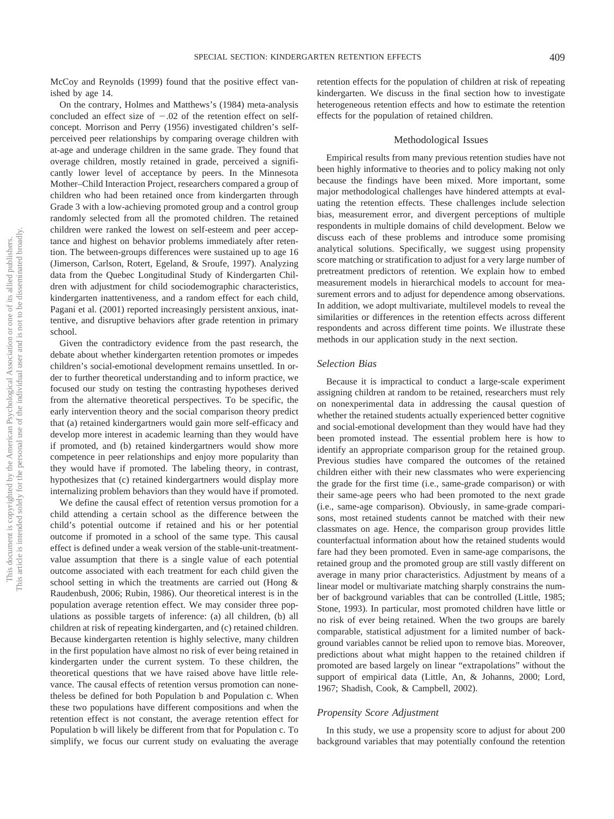McCoy and Reynolds (1999) found that the positive effect vanished by age 14.

On the contrary, Holmes and Matthews's (1984) meta-analysis concluded an effect size of  $-.02$  of the retention effect on selfconcept. Morrison and Perry (1956) investigated children's selfperceived peer relationships by comparing overage children with at-age and underage children in the same grade. They found that overage children, mostly retained in grade, perceived a significantly lower level of acceptance by peers. In the Minnesota Mother–Child Interaction Project, researchers compared a group of children who had been retained once from kindergarten through Grade 3 with a low-achieving promoted group and a control group randomly selected from all the promoted children. The retained children were ranked the lowest on self-esteem and peer acceptance and highest on behavior problems immediately after retention. The between-groups differences were sustained up to age 16 (Jimerson, Carlson, Rotert, Egeland, & Sroufe, 1997). Analyzing data from the Quebec Longitudinal Study of Kindergarten Children with adjustment for child sociodemographic characteristics, kindergarten inattentiveness, and a random effect for each child, Pagani et al. (2001) reported increasingly persistent anxious, inattentive, and disruptive behaviors after grade retention in primary school.

Given the contradictory evidence from the past research, the debate about whether kindergarten retention promotes or impedes children's social-emotional development remains unsettled. In order to further theoretical understanding and to inform practice, we focused our study on testing the contrasting hypotheses derived from the alternative theoretical perspectives. To be specific, the early intervention theory and the social comparison theory predict that (a) retained kindergartners would gain more self-efficacy and develop more interest in academic learning than they would have if promoted, and (b) retained kindergartners would show more competence in peer relationships and enjoy more popularity than they would have if promoted. The labeling theory, in contrast, hypothesizes that (c) retained kindergartners would display more internalizing problem behaviors than they would have if promoted.

We define the causal effect of retention versus promotion for a child attending a certain school as the difference between the child's potential outcome if retained and his or her potential outcome if promoted in a school of the same type. This causal effect is defined under a weak version of the stable-unit-treatmentvalue assumption that there is a single value of each potential outcome associated with each treatment for each child given the school setting in which the treatments are carried out (Hong & Raudenbush, 2006; Rubin, 1986). Our theoretical interest is in the population average retention effect. We may consider three populations as possible targets of inference: (a) all children, (b) all children at risk of repeating kindergarten, and (c) retained children. Because kindergarten retention is highly selective, many children in the first population have almost no risk of ever being retained in kindergarten under the current system. To these children, the theoretical questions that we have raised above have little relevance. The causal effects of retention versus promotion can nonetheless be defined for both Population b and Population c. When these two populations have different compositions and when the retention effect is not constant, the average retention effect for Population b will likely be different from that for Population c. To simplify, we focus our current study on evaluating the average retention effects for the population of children at risk of repeating kindergarten. We discuss in the final section how to investigate heterogeneous retention effects and how to estimate the retention effects for the population of retained children.

# Methodological Issues

Empirical results from many previous retention studies have not been highly informative to theories and to policy making not only because the findings have been mixed. More important, some major methodological challenges have hindered attempts at evaluating the retention effects. These challenges include selection bias, measurement error, and divergent perceptions of multiple respondents in multiple domains of child development. Below we discuss each of these problems and introduce some promising analytical solutions. Specifically, we suggest using propensity score matching or stratification to adjust for a very large number of pretreatment predictors of retention. We explain how to embed measurement models in hierarchical models to account for measurement errors and to adjust for dependence among observations. In addition, we adopt multivariate, multilevel models to reveal the similarities or differences in the retention effects across different respondents and across different time points. We illustrate these methods in our application study in the next section.

## *Selection Bias*

Because it is impractical to conduct a large-scale experiment assigning children at random to be retained, researchers must rely on nonexperimental data in addressing the causal question of whether the retained students actually experienced better cognitive and social-emotional development than they would have had they been promoted instead. The essential problem here is how to identify an appropriate comparison group for the retained group. Previous studies have compared the outcomes of the retained children either with their new classmates who were experiencing the grade for the first time (i.e., same-grade comparison) or with their same-age peers who had been promoted to the next grade (i.e., same-age comparison). Obviously, in same-grade comparisons, most retained students cannot be matched with their new classmates on age. Hence, the comparison group provides little counterfactual information about how the retained students would fare had they been promoted. Even in same-age comparisons, the retained group and the promoted group are still vastly different on average in many prior characteristics. Adjustment by means of a linear model or multivariate matching sharply constrains the number of background variables that can be controlled (Little, 1985; Stone, 1993). In particular, most promoted children have little or no risk of ever being retained. When the two groups are barely comparable, statistical adjustment for a limited number of background variables cannot be relied upon to remove bias. Moreover, predictions about what might happen to the retained children if promoted are based largely on linear "extrapolations" without the support of empirical data (Little, An, & Johanns, 2000; Lord, 1967; Shadish, Cook, & Campbell, 2002).

## *Propensity Score Adjustment*

In this study, we use a propensity score to adjust for about 200 background variables that may potentially confound the retention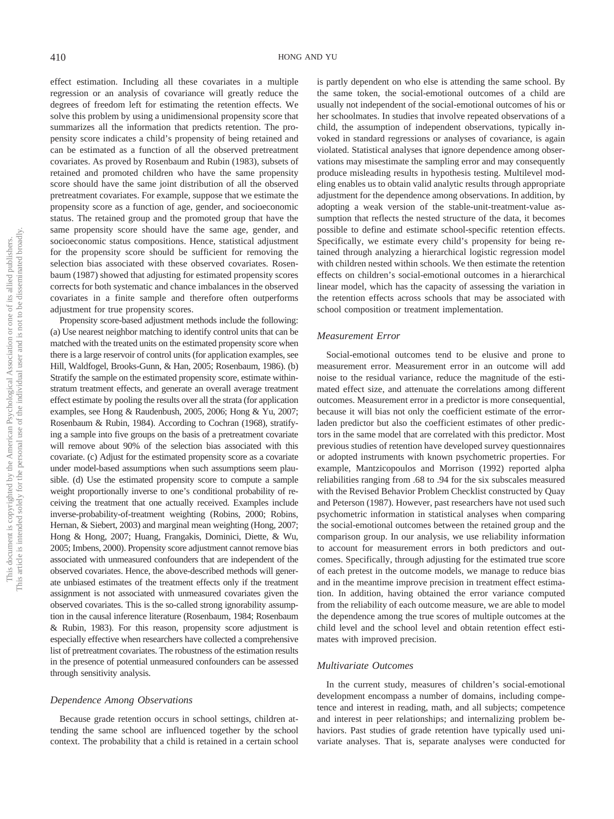effect estimation. Including all these covariates in a multiple regression or an analysis of covariance will greatly reduce the degrees of freedom left for estimating the retention effects. We solve this problem by using a unidimensional propensity score that summarizes all the information that predicts retention. The propensity score indicates a child's propensity of being retained and can be estimated as a function of all the observed pretreatment covariates. As proved by Rosenbaum and Rubin (1983), subsets of retained and promoted children who have the same propensity score should have the same joint distribution of all the observed pretreatment covariates. For example, suppose that we estimate the propensity score as a function of age, gender, and socioeconomic status. The retained group and the promoted group that have the same propensity score should have the same age, gender, and socioeconomic status compositions. Hence, statistical adjustment for the propensity score should be sufficient for removing the selection bias associated with these observed covariates. Rosenbaum (1987) showed that adjusting for estimated propensity scores corrects for both systematic and chance imbalances in the observed covariates in a finite sample and therefore often outperforms adjustment for true propensity scores.

Propensity score-based adjustment methods include the following: (a) Use nearest neighbor matching to identify control units that can be matched with the treated units on the estimated propensity score when there is a large reservoir of control units (for application examples, see Hill, Waldfogel, Brooks-Gunn, & Han, 2005; Rosenbaum, 1986). (b) Stratify the sample on the estimated propensity score, estimate withinstratum treatment effects, and generate an overall average treatment effect estimate by pooling the results over all the strata (for application examples, see Hong & Raudenbush, 2005, 2006; Hong & Yu, 2007; Rosenbaum & Rubin, 1984). According to Cochran (1968), stratifying a sample into five groups on the basis of a pretreatment covariate will remove about 90% of the selection bias associated with this covariate. (c) Adjust for the estimated propensity score as a covariate under model-based assumptions when such assumptions seem plausible. (d) Use the estimated propensity score to compute a sample weight proportionally inverse to one's conditional probability of receiving the treatment that one actually received. Examples include inverse-probability-of-treatment weighting (Robins, 2000; Robins, Hernan, & Siebert, 2003) and marginal mean weighting (Hong, 2007; Hong & Hong, 2007; Huang, Frangakis, Dominici, Diette, & Wu, 2005; Imbens, 2000). Propensity score adjustment cannot remove bias associated with unmeasured confounders that are independent of the observed covariates. Hence, the above-described methods will generate unbiased estimates of the treatment effects only if the treatment assignment is not associated with unmeasured covariates given the observed covariates. This is the so-called strong ignorability assumption in the causal inference literature (Rosenbaum, 1984; Rosenbaum & Rubin, 1983). For this reason, propensity score adjustment is especially effective when researchers have collected a comprehensive list of pretreatment covariates. The robustness of the estimation results in the presence of potential unmeasured confounders can be assessed through sensitivity analysis.

## *Dependence Among Observations*

Because grade retention occurs in school settings, children attending the same school are influenced together by the school context. The probability that a child is retained in a certain school is partly dependent on who else is attending the same school. By the same token, the social-emotional outcomes of a child are usually not independent of the social-emotional outcomes of his or her schoolmates. In studies that involve repeated observations of a child, the assumption of independent observations, typically invoked in standard regressions or analyses of covariance, is again violated. Statistical analyses that ignore dependence among observations may misestimate the sampling error and may consequently produce misleading results in hypothesis testing. Multilevel modeling enables us to obtain valid analytic results through appropriate adjustment for the dependence among observations. In addition, by adopting a weak version of the stable-unit-treatment-value assumption that reflects the nested structure of the data, it becomes possible to define and estimate school-specific retention effects. Specifically, we estimate every child's propensity for being retained through analyzing a hierarchical logistic regression model with children nested within schools. We then estimate the retention effects on children's social-emotional outcomes in a hierarchical linear model, which has the capacity of assessing the variation in the retention effects across schools that may be associated with school composition or treatment implementation.

## *Measurement Error*

Social-emotional outcomes tend to be elusive and prone to measurement error. Measurement error in an outcome will add noise to the residual variance, reduce the magnitude of the estimated effect size, and attenuate the correlations among different outcomes. Measurement error in a predictor is more consequential, because it will bias not only the coefficient estimate of the errorladen predictor but also the coefficient estimates of other predictors in the same model that are correlated with this predictor. Most previous studies of retention have developed survey questionnaires or adopted instruments with known psychometric properties. For example, Mantzicopoulos and Morrison (1992) reported alpha reliabilities ranging from .68 to .94 for the six subscales measured with the Revised Behavior Problem Checklist constructed by Quay and Peterson (1987). However, past researchers have not used such psychometric information in statistical analyses when comparing the social-emotional outcomes between the retained group and the comparison group. In our analysis, we use reliability information to account for measurement errors in both predictors and outcomes. Specifically, through adjusting for the estimated true score of each pretest in the outcome models, we manage to reduce bias and in the meantime improve precision in treatment effect estimation. In addition, having obtained the error variance computed from the reliability of each outcome measure, we are able to model the dependence among the true scores of multiple outcomes at the child level and the school level and obtain retention effect estimates with improved precision.

# *Multivariate Outcomes*

In the current study, measures of children's social-emotional development encompass a number of domains, including competence and interest in reading, math, and all subjects; competence and interest in peer relationships; and internalizing problem behaviors. Past studies of grade retention have typically used univariate analyses. That is, separate analyses were conducted for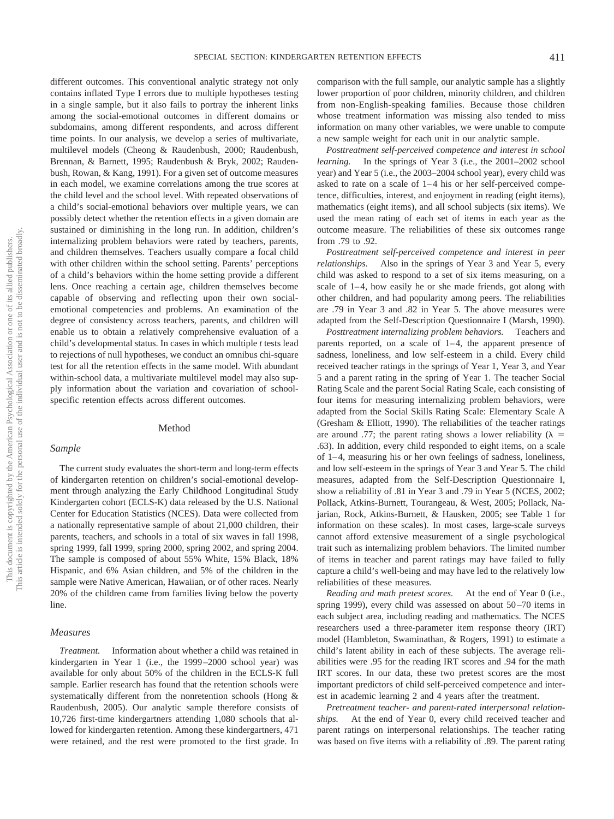different outcomes. This conventional analytic strategy not only contains inflated Type I errors due to multiple hypotheses testing in a single sample, but it also fails to portray the inherent links among the social-emotional outcomes in different domains or subdomains, among different respondents, and across different time points. In our analysis, we develop a series of multivariate, multilevel models (Cheong & Raudenbush, 2000; Raudenbush, Brennan, & Barnett, 1995; Raudenbush & Bryk, 2002; Raudenbush, Rowan, & Kang, 1991). For a given set of outcome measures in each model, we examine correlations among the true scores at the child level and the school level. With repeated observations of a child's social-emotional behaviors over multiple years, we can possibly detect whether the retention effects in a given domain are sustained or diminishing in the long run. In addition, children's internalizing problem behaviors were rated by teachers, parents, and children themselves. Teachers usually compare a focal child with other children within the school setting. Parents' perceptions of a child's behaviors within the home setting provide a different lens. Once reaching a certain age, children themselves become capable of observing and reflecting upon their own socialemotional competencies and problems. An examination of the degree of consistency across teachers, parents, and children will enable us to obtain a relatively comprehensive evaluation of a child's developmental status. In cases in which multiple *t* tests lead to rejections of null hypotheses, we conduct an omnibus chi-square test for all the retention effects in the same model. With abundant within-school data, a multivariate multilevel model may also supply information about the variation and covariation of schoolspecific retention effects across different outcomes.

## Method

# *Sample*

The current study evaluates the short-term and long-term effects of kindergarten retention on children's social-emotional development through analyzing the Early Childhood Longitudinal Study Kindergarten cohort (ECLS-K) data released by the U.S. National Center for Education Statistics (NCES). Data were collected from a nationally representative sample of about 21,000 children, their parents, teachers, and schools in a total of six waves in fall 1998, spring 1999, fall 1999, spring 2000, spring 2002, and spring 2004. The sample is composed of about 55% White, 15% Black, 18% Hispanic, and 6% Asian children, and 5% of the children in the sample were Native American, Hawaiian, or of other races. Nearly 20% of the children came from families living below the poverty line.

### *Measures*

*Treatment.* Information about whether a child was retained in kindergarten in Year 1 (i.e., the 1999 –2000 school year) was available for only about 50% of the children in the ECLS-K full sample. Earlier research has found that the retention schools were systematically different from the nonretention schools (Hong & Raudenbush, 2005). Our analytic sample therefore consists of 10,726 first-time kindergartners attending 1,080 schools that allowed for kindergarten retention. Among these kindergartners, 471 were retained, and the rest were promoted to the first grade. In comparison with the full sample, our analytic sample has a slightly lower proportion of poor children, minority children, and children from non-English-speaking families. Because those children whose treatment information was missing also tended to miss information on many other variables, we were unable to compute a new sample weight for each unit in our analytic sample.

*Posttreatment self-perceived competence and interest in school learning.* In the springs of Year 3 (i.e., the 2001–2002 school year) and Year 5 (i.e., the 2003–2004 school year), every child was asked to rate on a scale of  $1-4$  his or her self-perceived competence, difficulties, interest, and enjoyment in reading (eight items), mathematics (eight items), and all school subjects (six items). We used the mean rating of each set of items in each year as the outcome measure. The reliabilities of these six outcomes range from .79 to .92.

*Posttreatment self-perceived competence and interest in peer relationships.* Also in the springs of Year 3 and Year 5, every child was asked to respond to a set of six items measuring, on a scale of  $1-4$ , how easily he or she made friends, got along with other children, and had popularity among peers. The reliabilities are .79 in Year 3 and .82 in Year 5. The above measures were adapted from the Self-Description Questionnaire I (Marsh, 1990).

*Posttreatment internalizing problem behaviors.* Teachers and parents reported, on a scale of  $1-4$ , the apparent presence of sadness, loneliness, and low self-esteem in a child. Every child received teacher ratings in the springs of Year 1, Year 3, and Year 5 and a parent rating in the spring of Year 1. The teacher Social Rating Scale and the parent Social Rating Scale, each consisting of four items for measuring internalizing problem behaviors, were adapted from the Social Skills Rating Scale: Elementary Scale A (Gresham & Elliott, 1990). The reliabilities of the teacher ratings are around .77; the parent rating shows a lower reliability ( $\lambda$  = .63). In addition, every child responded to eight items, on a scale of 1– 4, measuring his or her own feelings of sadness, loneliness, and low self-esteem in the springs of Year 3 and Year 5. The child measures, adapted from the Self-Description Questionnaire I, show a reliability of .81 in Year 3 and .79 in Year 5 (NCES, 2002; Pollack, Atkins-Burnett, Tourangeau, & West, 2005; Pollack, Najarian, Rock, Atkins-Burnett, & Hausken, 2005; see Table 1 for information on these scales). In most cases, large-scale surveys cannot afford extensive measurement of a single psychological trait such as internalizing problem behaviors. The limited number of items in teacher and parent ratings may have failed to fully capture a child's well-being and may have led to the relatively low reliabilities of these measures.

*Reading and math pretest scores.* At the end of Year 0 (i.e., spring 1999), every child was assessed on about 50–70 items in each subject area, including reading and mathematics. The NCES researchers used a three-parameter item response theory (IRT) model (Hambleton, Swaminathan, & Rogers, 1991) to estimate a child's latent ability in each of these subjects. The average reliabilities were .95 for the reading IRT scores and .94 for the math IRT scores. In our data, these two pretest scores are the most important predictors of child self-perceived competence and interest in academic learning 2 and 4 years after the treatment.

*Pretreatment teacher- and parent-rated interpersonal relationships.* At the end of Year 0, every child received teacher and parent ratings on interpersonal relationships. The teacher rating was based on five items with a reliability of .89. The parent rating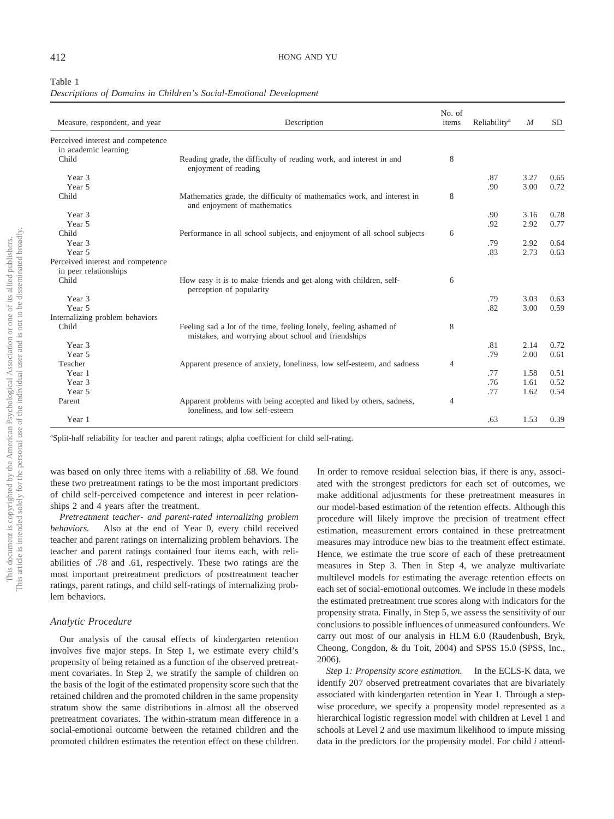| ante |  |
|------|--|
|------|--|

*Descriptions of Domains in Children's Social-Emotional Development*

| Measure, respondent, and year     | Description                                                                                                              | No. of<br>items | Reliability <sup>a</sup> | $\boldsymbol{M}$ | <b>SD</b> |
|-----------------------------------|--------------------------------------------------------------------------------------------------------------------------|-----------------|--------------------------|------------------|-----------|
| Perceived interest and competence |                                                                                                                          |                 |                          |                  |           |
| in academic learning              |                                                                                                                          |                 |                          |                  |           |
| Child                             | Reading grade, the difficulty of reading work, and interest in and<br>enjoyment of reading                               | 8               |                          |                  |           |
| Year 3                            |                                                                                                                          |                 | .87                      | 3.27             | 0.65      |
| Year 5                            |                                                                                                                          |                 | .90                      | 3.00             | 0.72      |
| Child                             | Mathematics grade, the difficulty of mathematics work, and interest in<br>and enjoyment of mathematics                   | 8               |                          |                  |           |
| Year 3                            |                                                                                                                          |                 | .90                      | 3.16             | 0.78      |
| Year 5                            |                                                                                                                          |                 | .92                      | 2.92             | 0.77      |
| Child                             | Performance in all school subjects, and enjoyment of all school subjects                                                 | 6               |                          |                  |           |
| Year 3                            |                                                                                                                          |                 | .79                      | 2.92             | 0.64      |
| Year 5                            |                                                                                                                          |                 | .83                      | 2.73             | 0.63      |
| Perceived interest and competence |                                                                                                                          |                 |                          |                  |           |
| in peer relationships             |                                                                                                                          |                 |                          |                  |           |
| Child                             | How easy it is to make friends and get along with children, self-<br>perception of popularity                            | 6               |                          |                  |           |
| Year 3                            |                                                                                                                          |                 | .79                      | 3.03             | 0.63      |
| Year 5                            |                                                                                                                          |                 | .82                      | 3.00             | 0.59      |
| Internalizing problem behaviors   |                                                                                                                          |                 |                          |                  |           |
| Child                             | Feeling sad a lot of the time, feeling lonely, feeling ashamed of<br>mistakes, and worrying about school and friendships | 8               |                          |                  |           |
| Year 3                            |                                                                                                                          |                 | .81                      | 2.14             | 0.72      |
| Year 5                            |                                                                                                                          |                 | .79                      | 2.00             | 0.61      |
| Teacher                           | Apparent presence of anxiety, loneliness, low self-esteem, and sadness                                                   | $\overline{4}$  |                          |                  |           |
| Year 1                            |                                                                                                                          |                 | .77                      | 1.58             | 0.51      |
| Year 3                            |                                                                                                                          |                 | .76                      | 1.61             | 0.52      |
| Year 5                            |                                                                                                                          |                 | .77                      | 1.62             | 0.54      |
| Parent                            | Apparent problems with being accepted and liked by others, sadness,<br>loneliness, and low self-esteem                   | $\overline{4}$  |                          |                  |           |
| Year 1                            |                                                                                                                          |                 | .63                      | 1.53             | 0.39      |

<sup>a</sup>Split-half reliability for teacher and parent ratings; alpha coefficient for child self-rating.

was based on only three items with a reliability of .68. We found these two pretreatment ratings to be the most important predictors of child self-perceived competence and interest in peer relationships 2 and 4 years after the treatment.

*Pretreatment teacher- and parent-rated internalizing problem behaviors.* Also at the end of Year 0, every child received teacher and parent ratings on internalizing problem behaviors. The teacher and parent ratings contained four items each, with reliabilities of .78 and .61, respectively. These two ratings are the most important pretreatment predictors of posttreatment teacher ratings, parent ratings, and child self-ratings of internalizing problem behaviors.

# *Analytic Procedure*

Our analysis of the causal effects of kindergarten retention involves five major steps. In Step 1, we estimate every child's propensity of being retained as a function of the observed pretreatment covariates. In Step 2, we stratify the sample of children on the basis of the logit of the estimated propensity score such that the retained children and the promoted children in the same propensity stratum show the same distributions in almost all the observed pretreatment covariates. The within-stratum mean difference in a social-emotional outcome between the retained children and the promoted children estimates the retention effect on these children.

In order to remove residual selection bias, if there is any, associated with the strongest predictors for each set of outcomes, we make additional adjustments for these pretreatment measures in our model-based estimation of the retention effects. Although this procedure will likely improve the precision of treatment effect estimation, measurement errors contained in these pretreatment measures may introduce new bias to the treatment effect estimate. Hence, we estimate the true score of each of these pretreatment measures in Step 3. Then in Step 4, we analyze multivariate multilevel models for estimating the average retention effects on each set of social-emotional outcomes. We include in these models the estimated pretreatment true scores along with indicators for the propensity strata. Finally, in Step 5, we assess the sensitivity of our conclusions to possible influences of unmeasured confounders. We carry out most of our analysis in HLM 6.0 (Raudenbush, Bryk, Cheong, Congdon, & du Toit, 2004) and SPSS 15.0 (SPSS, Inc., 2006).

*Step 1: Propensity score estimation.* In the ECLS-K data, we identify 207 observed pretreatment covariates that are bivariately associated with kindergarten retention in Year 1. Through a stepwise procedure, we specify a propensity model represented as a hierarchical logistic regression model with children at Level 1 and schools at Level 2 and use maximum likelihood to impute missing data in the predictors for the propensity model. For child *i* attend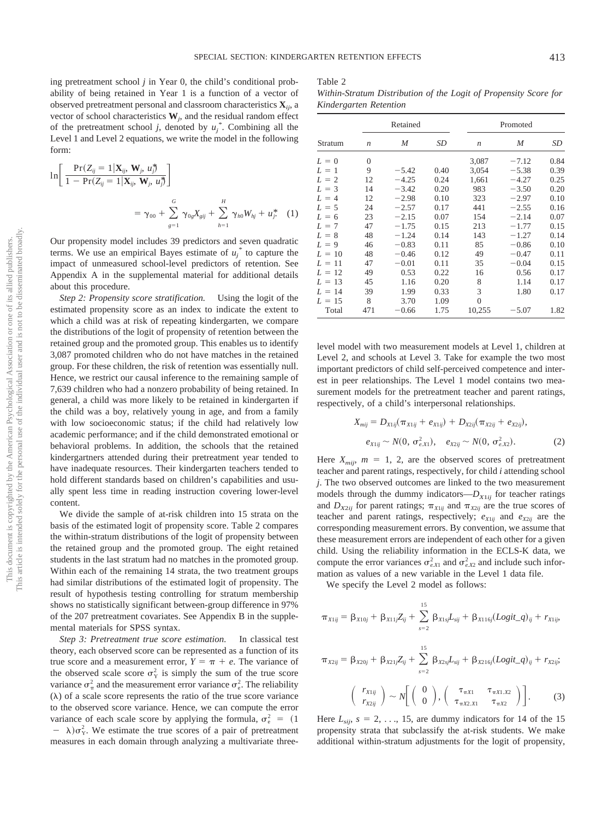ing pretreatment school *j* in Year 0, the child's conditional probability of being retained in Year 1 is a function of a vector of observed pretreatment personal and classroom characteristics  $\mathbf{X}_{i,j}$ , a vector of school characteristics **W***<sup>j</sup>* , and the residual random effect of the pretreatment school *j*, denoted by  $u_j^*$ . Combining all the Level 1 and Level 2 equations, we write the model in the following form:

$$
\ln\left[\frac{\Pr(Z_{ij} = 1 | \mathbf{X}_{ij}, \mathbf{W}_{j}, u_{j}^{*})}{1 - \Pr(Z_{ij} = 1 | \mathbf{X}_{ij}, \mathbf{W}_{j}, u_{j}^{*})}\right]
$$
\n
$$
= \gamma_{00} + \sum_{g=1}^{G} \gamma_{0g} X_{gij} + \sum_{h=1}^{H} \gamma_{h0} W_{hj} + u_{j}^{*} \quad (1)
$$

Our propensity model includes 39 predictors and seven quadratic terms. We use an empirical Bayes estimate of  $u_j^*$  to capture the impact of unmeasured school-level predictors of retention. See Appendix A in the supplemental material for additional details about this procedure.

*Step 2: Propensity score stratification.* Using the logit of the estimated propensity score as an index to indicate the extent to which a child was at risk of repeating kindergarten, we compare the distributions of the logit of propensity of retention between the retained group and the promoted group. This enables us to identify 3,087 promoted children who do not have matches in the retained group. For these children, the risk of retention was essentially null. Hence, we restrict our causal inference to the remaining sample of 7,639 children who had a nonzero probability of being retained. In general, a child was more likely to be retained in kindergarten if the child was a boy, relatively young in age, and from a family with low socioeconomic status; if the child had relatively low academic performance; and if the child demonstrated emotional or behavioral problems. In addition, the schools that the retained kindergartners attended during their pretreatment year tended to have inadequate resources. Their kindergarten teachers tended to hold different standards based on children's capabilities and usually spent less time in reading instruction covering lower-level content.

We divide the sample of at-risk children into 15 strata on the basis of the estimated logit of propensity score. Table 2 compares the within-stratum distributions of the logit of propensity between the retained group and the promoted group. The eight retained students in the last stratum had no matches in the promoted group. Within each of the remaining 14 strata, the two treatment groups had similar distributions of the estimated logit of propensity. The result of hypothesis testing controlling for stratum membership shows no statistically significant between-group difference in 97% of the 207 pretreatment covariates. See Appendix B in the supplemental materials for SPSS syntax.

*Step 3: Pretreatment true score estimation.* In classical test theory, each observed score can be represented as a function of its true score and a measurement error,  $Y = \pi + e$ . The variance of the observed scale score  $\sigma_Y^2$  is simply the sum of the true score variance  $\sigma_{\pi}^2$  and the measurement error variance  $\sigma_{e}^2$ . The reliability  $(\lambda)$  of a scale score represents the ratio of the true score variance to the observed score variance. Hence, we can compute the error variance of each scale score by applying the formula,  $\sigma_e^2 = (1$ - $(-\lambda)\sigma_Y^2$ . We estimate the true scores of a pair of pretreatment measures in each domain through analyzing a multivariate three-

Table 2

*Within-Stratum Distribution of the Logit of Propensity Score for Kindergarten Retention*

|          |                  | Retained |      | Promoted         |         |      |  |  |
|----------|------------------|----------|------|------------------|---------|------|--|--|
| Stratum  | $\boldsymbol{n}$ | M        | SD   | $\boldsymbol{n}$ | M       | SD   |  |  |
| $L=0$    | $\Omega$         |          |      | 3,087            | $-7.12$ | 0.84 |  |  |
| $L = 1$  | 9                | $-5.42$  | 0.40 | 3,054            | $-5.38$ | 0.39 |  |  |
| $L = 2$  | 12               | $-4.25$  | 0.24 | 1,661            | $-4.27$ | 0.25 |  |  |
| $L = 3$  | 14               | $-3.42$  | 0.20 | 983              | $-3.50$ | 0.20 |  |  |
| $L = 4$  | 12               | $-2.98$  | 0.10 | 323              | $-2.97$ | 0.10 |  |  |
| $L = 5$  | 24               | $-2.57$  | 0.17 | 441              | $-2.55$ | 0.16 |  |  |
| $L = 6$  | 23               | $-2.15$  | 0.07 | 154              | $-2.14$ | 0.07 |  |  |
| $L = 7$  | 47               | $-1.75$  | 0.15 | 213              | $-1.77$ | 0.15 |  |  |
| $L = 8$  | 48               | $-1.24$  | 0.14 | 143              | $-1.27$ | 0.14 |  |  |
| $L = 9$  | 46               | $-0.83$  | 0.11 | 85               | $-0.86$ | 0.10 |  |  |
| $L = 10$ | 48               | $-0.46$  | 0.12 | 49               | $-0.47$ | 0.11 |  |  |
| $L = 11$ | 47               | $-0.01$  | 0.11 | 35               | $-0.04$ | 0.15 |  |  |
| $L = 12$ | 49               | 0.53     | 0.22 | 16               | 0.56    | 0.17 |  |  |
| $L = 13$ | 45               | 1.16     | 0.20 | 8                | 1.14    | 0.17 |  |  |
| $L = 14$ | 39               | 1.99     | 0.33 | 3                | 1.80    | 0.17 |  |  |
| $L = 15$ | 8                | 3.70     | 1.09 | $\Omega$         |         |      |  |  |
| Total    | 471              | $-0.66$  | 1.75 | 10,255           | $-5.07$ | 1.82 |  |  |

level model with two measurement models at Level 1, children at Level 2, and schools at Level 3. Take for example the two most important predictors of child self-perceived competence and interest in peer relationships. The Level 1 model contains two measurement models for the pretreatment teacher and parent ratings, respectively, of a child's interpersonal relationships.

$$
X_{mij} = D_{X1ij}(\pi_{X1ij} + e_{X1ij}) + D_{X2ij}(\pi_{X2ij} + e_{X2ij}),
$$
  
\n
$$
e_{X1ij} \sim N(0, \sigma_{e,X1}^2), \quad e_{X2ij} \sim N(0, \sigma_{e,X2}^2).
$$
 (2)

Here  $X_{mij}$ ,  $m = 1, 2$ , are the observed scores of pretreatment teacher and parent ratings, respectively, for child *i* attending school *j*. The two observed outcomes are linked to the two measurement models through the dummy indicators— $D_{X1ij}$  for teacher ratings and  $D_{X2ij}$  for parent ratings;  $\pi_{X1ij}$  and  $\pi_{X2ij}$  are the true scores of teacher and parent ratings, respectively;  $e_{X1ij}$  and  $e_{X2ij}$  are the corresponding measurement errors. By convention, we assume that these measurement errors are independent of each other for a given child. Using the reliability information in the ECLS-K data, we compute the error variances  $\sigma_{e,X1}^2$  and  $\sigma_{e,X2}^2$  and include such information as values of a new variable in the Level 1 data file.

We specify the Level 2 model as follows:

$$
\pi_{X1ij} = \beta_{X10j} + \beta_{X11j}Z_{ij} + \sum_{s=2}^{15} \beta_{X1sj}L_{sij} + \beta_{X116j}(Logit_{-}q)_{ij} + r_{X1ij},
$$
  

$$
\pi_{X2ij} = \beta_{X20j} + \beta_{X21j}Z_{ij} + \sum_{s=2}^{15} \beta_{X2sj}L_{sij} + \beta_{X216j}(Logit_{-}q)_{ij} + r_{X2ij};
$$

$$
\begin{pmatrix} r_{X1ij} \\ r_{X2ij} \end{pmatrix} \sim N \left[ \begin{pmatrix} 0 \\ 0 \end{pmatrix}, \begin{pmatrix} \tau_{\pi X1} & \tau_{\pi X1.X2} \\ \tau_{\pi X2.X1} & \tau_{\pi X2} \end{pmatrix} \right].
$$
 (3)

Here  $L_{sij}$ ,  $s = 2, \ldots, 15$ , are dummy indicators for 14 of the 15 propensity strata that subclassify the at-risk students. We make additional within-stratum adjustments for the logit of propensity,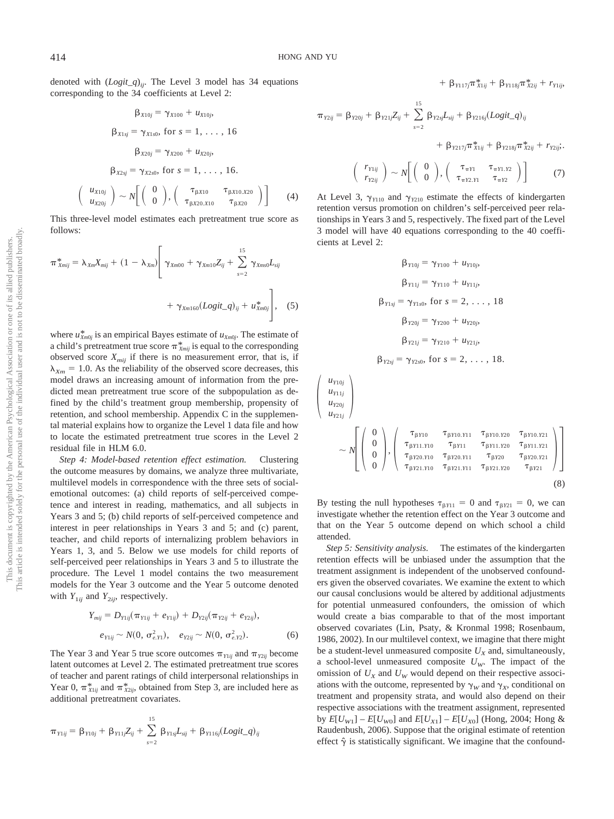$\Big($ 

 $u_{Y10j}$  $u_{Y11j}$ *uY*20*<sup>j</sup>*  $u_{y21j}$  $\Bigg)$ 

denoted with  $(Logit_q)_{ij}$ . The Level 3 model has 34 equations corresponding to the 34 coefficients at Level 2:

$$
\beta_{X10j} = \gamma_{X100} + u_{X10j},
$$
\n
$$
\beta_{X1sj} = \gamma_{X1s0}, \text{ for } s = 1, \dots, 16
$$
\n
$$
\beta_{X20j} = \gamma_{X200} + u_{X20j},
$$
\n
$$
\beta_{X2sj} = \gamma_{X2s0}, \text{ for } s = 1, \dots, 16.
$$
\n
$$
\begin{pmatrix} u_{X10j} \\ u_{X20j} \end{pmatrix} \sim N \begin{bmatrix} 0 \\ 0 \end{bmatrix}, \begin{pmatrix} \tau_{\beta X10} & \tau_{\beta X10.X20} \\ \tau_{\beta X20.X10} & \tau_{\beta X20} \end{pmatrix} \tag{4}
$$

This three-level model estimates each pretreatment true score as follows:

$$
\pi_{Xmij}^{*} = \lambda_{Xm} X_{mij} + (1 - \lambda_{Xm}) \left[ \gamma_{Xm00} + \gamma_{Xm10} Z_{ij} + \sum_{s=2}^{15} \gamma_{Xm s0} L_{sij} + \gamma_{Xm160} (Logit\_q)_{ij} + u_{Xm0j}^{*} \right], \quad (5)
$$

where  $u^*_{Xm0j}$  is an empirical Bayes estimate of  $u_{Xm0j}$ . The estimate of a child's pretreatment true score  $\pi^*_{Xmij}$  is equal to the corresponding observed score  $X_{mij}$  if there is no measurement error, that is, if  $\lambda_{X_m}$  = 1.0. As the reliability of the observed score decreases, this model draws an increasing amount of information from the predicted mean pretreatment true score of the subpopulation as defined by the child's treatment group membership, propensity of retention, and school membership. Appendix C in the supplemental material explains how to organize the Level 1 data file and how to locate the estimated pretreatment true scores in the Level 2 residual file in HLM 6.0.

*Step 4: Model-based retention effect estimation.* Clustering the outcome measures by domains, we analyze three multivariate, multilevel models in correspondence with the three sets of socialemotional outcomes: (a) child reports of self-perceived competence and interest in reading, mathematics, and all subjects in Years 3 and 5; (b) child reports of self-perceived competence and interest in peer relationships in Years 3 and 5; and (c) parent, teacher, and child reports of internalizing problem behaviors in Years 1, 3, and 5. Below we use models for child reports of self-perceived peer relationships in Years 3 and 5 to illustrate the procedure. The Level 1 model contains the two measurement models for the Year 3 outcome and the Year 5 outcome denoted with  $Y_{1ij}$  and  $Y_{2ij}$ , respectively.

$$
Y_{mij} = D_{Y1ij}(\pi_{Y1ij} + e_{Y1ij}) + D_{Y2ij}(\pi_{Y2ij} + e_{Y2ij}),
$$
  
\n
$$
e_{Y1ij} \sim N(0, \sigma_{e,Y1}^2), \quad e_{Y2ij} \sim N(0, \sigma_{e,Y2}^2).
$$
 (6)

The Year 3 and Year 5 true score outcomes  $\pi_{Y1ij}$  and  $\pi_{Y2ij}$  become latent outcomes at Level 2. The estimated pretreatment true scores of teacher and parent ratings of child interpersonal relationships in Year 0,  $\pi^*_{X1ij}$  and  $\pi^*_{X2ij}$ , obtained from Step 3, are included here as additional pretreatment covariates.

$$
\pi_{Y1ij} = \beta_{Y10j} + \beta_{Y11j}Z_{ij} + \sum_{s=2}^{15} \beta_{Y1sj}L_{sij} + \beta_{Y116j}(Logit\_q)_{ij}
$$

+  $\beta_{Y117j}\pi_{X1ij}^{*}$  +  $\beta_{Y118j}\pi_{X2ij}^{*}$  +  $r_{Y1ij}$ ,

$$
\pi_{Y2ij} = \beta_{Y20j} + \beta_{Y21j} Z_{ij} + \sum_{s=2}^{15} \beta_{Y2sj} L_{sij} + \beta_{Y216j} (Logit_{q})_{ij}
$$

$$
+ \beta_{Y217j} \pi_{X1ij}^{*} + \beta_{Y218j} \pi_{X2ij}^{*} + r_{Y2ij};
$$

$$
\begin{pmatrix} r_{Y1ij} \\ r_{Y2ij} \end{pmatrix} \sim N \Bigg[ \begin{pmatrix} 0 \\ 0 \end{pmatrix}, \begin{pmatrix} \tau_{\pi Y1} & \tau_{\pi Y1.Y2} \\ \tau_{\pi Y2.Y1} & \tau_{\pi Y2} \end{pmatrix} \Bigg] \tag{7}
$$

At Level 3,  $\gamma_{Y110}$  and  $\gamma_{Y210}$  estimate the effects of kindergarten retention versus promotion on children's self-perceived peer relationships in Years 3 and 5, respectively. The fixed part of the Level 3 model will have 40 equations corresponding to the 40 coefficients at Level 2:

$$
\beta_{Y10j} = \gamma_{Y100} + u_{Y10j},
$$
  
\n
$$
\beta_{Y11j} = \gamma_{Y110} + u_{Y11j},
$$
  
\n
$$
\beta_{Y1sj} = \gamma_{Y1s0}, \text{ for } s = 2, ..., 18
$$
  
\n
$$
\beta_{Y20j} = \gamma_{Y200} + u_{Y20j},
$$
  
\n
$$
\beta_{Y21j} = \gamma_{Y210} + u_{Y21j},
$$
  
\n
$$
\beta_{Y2sj} = \gamma_{Y2s0}, \text{ for } s = 2, ..., 18.
$$

$$
\sim N\!\!\!\left[\left(\begin{array}{c} 0\\ 0\\ 0\\ 0 \end{array}\right)\!\!,\left(\begin{array}{cccc} \tau_{\beta Y10}&\tau_{\beta Y10.Y11}&\tau_{\beta Y10.Y20}&\tau_{\beta Y10.Y21}\\ \tau_{\beta Y11.Y10}&\tau_{\beta Y11}&\tau_{\beta Y11.Y20}&\tau_{\beta Y11.Y21}\\ \tau_{\beta Y20.Y10}&\tau_{\beta Y20.Y11}&\tau_{\beta Y21.Y20}&\tau_{\beta Y21} \end{array}\right)\right] \tag{8}
$$

By testing the null hypotheses  $\tau_{\beta Y11} = 0$  and  $\tau_{\beta Y21} = 0$ , we can investigate whether the retention effect on the Year 3 outcome and that on the Year 5 outcome depend on which school a child attended.

*Step 5: Sensitivity analysis.* The estimates of the kindergarten retention effects will be unbiased under the assumption that the treatment assignment is independent of the unobserved confounders given the observed covariates. We examine the extent to which our causal conclusions would be altered by additional adjustments for potential unmeasured confounders, the omission of which would create a bias comparable to that of the most important observed covariates (Lin, Psaty, & Kronmal 1998; Rosenbaum, 1986, 2002). In our multilevel context, we imagine that there might be a student-level unmeasured composite  $U_X$  and, simultaneously, a school-level unmeasured composite  $U_W$ . The impact of the omission of  $U_x$  and  $U_w$  would depend on their respective associations with the outcome, represented by  $\gamma_W$  and  $\gamma_X$ , conditional on treatment and propensity strata, and would also depend on their respective associations with the treatment assignment, represented by  $E[U_{W1}] - E[U_{W0}]$  and  $E[U_{X1}] - E[U_{X0}]$  (Hong, 2004; Hong & Raudenbush, 2006). Suppose that the original estimate of retention effect  $\hat{\gamma}$  is statistically significant. We imagine that the confound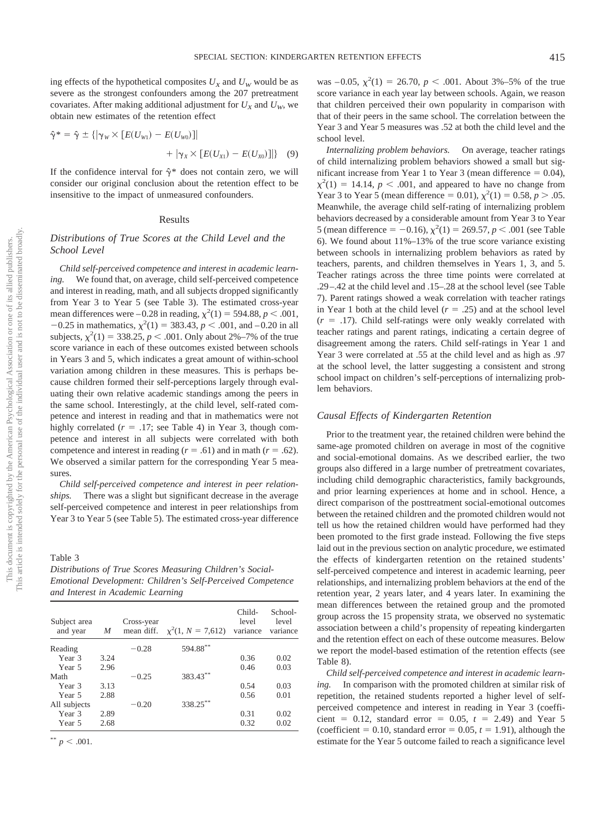ing effects of the hypothetical composites  $U_x$  and  $U_w$  would be as severe as the strongest confounders among the 207 pretreatment covariates. After making additional adjustment for  $U_X$  and  $U_W$ , we obtain new estimates of the retention effect

$$
\hat{\gamma}^* = \hat{\gamma} \pm \{ |\gamma_W \times [E(U_{W1}) - E(U_{W0})]| + |\gamma_X \times [E(U_{X1}) - E(U_{X0})]| \} \quad (9)
$$

If the confidence interval for  $\hat{\gamma}^*$  does not contain zero, we will consider our original conclusion about the retention effect to be insensitive to the impact of unmeasured confounders.

## Results

# *Distributions of True Scores at the Child Level and the School Level*

*Child self-perceived competence and interest in academic learning.* We found that, on average, child self-perceived competence and interest in reading, math, and all subjects dropped significantly from Year 3 to Year 5 (see Table 3). The estimated cross-year mean differences were  $-0.28$  in reading,  $\chi^2(1) = 594.88, p < .001$ ,  $-0.25$  in mathematics,  $\chi^2(1) = 383.43$ ,  $p < .001$ , and  $-0.20$  in all subjects,  $\chi^2(1) = 338.25$ ,  $p < .001$ . Only about 2%–7% of the true score variance in each of these outcomes existed between schools in Years 3 and 5, which indicates a great amount of within-school variation among children in these measures. This is perhaps because children formed their self-perceptions largely through evaluating their own relative academic standings among the peers in the same school. Interestingly, at the child level, self-rated competence and interest in reading and that in mathematics were not highly correlated  $(r = .17; \text{ see Table 4})$  in Year 3, though competence and interest in all subjects were correlated with both competence and interest in reading  $(r = .61)$  and in math  $(r = .62)$ . We observed a similar pattern for the corresponding Year 5 measures.

*Child self-perceived competence and interest in peer relationships.* There was a slight but significant decrease in the average self-perceived competence and interest in peer relationships from Year 3 to Year 5 (see Table 5). The estimated cross-year difference

# Table 3

*Distributions of True Scores Measuring Children's Social-Emotional Development: Children's Self-Perceived Competence and Interest in Academic Learning*

| Subject area<br>and year | M    | Cross-year<br>mean diff. | $\chi^2(1, N = 7,612)$ | Child-<br>level<br>variance | School-<br>level<br>variance |
|--------------------------|------|--------------------------|------------------------|-----------------------------|------------------------------|
| Reading                  |      | $-0.28$                  | 594.88**               |                             |                              |
| Year 3                   | 3.24 |                          |                        | 0.36                        | 0.02                         |
| Year 5                   | 2.96 |                          |                        | 0.46                        | 0.03                         |
| Math                     |      | $-0.25$                  | 383.43**               |                             |                              |
| Year 3                   | 3.13 |                          |                        | 0.54                        | 0.03                         |
| Year 5                   | 2.88 |                          |                        | 0.56                        | 0.01                         |
| All subjects             |      | $-0.20$                  | 338.25**               |                             |                              |
| Year 3                   | 2.89 |                          |                        | 0.31                        | 0.02                         |
| Year 5                   | 2.68 |                          |                        | 0.32                        | 0.02                         |

\*\*  $p < .001$ .

was  $-0.05$ ,  $\chi^2(1) = 26.70$ ,  $p < .001$ . About 3%–5% of the true score variance in each year lay between schools. Again, we reason that children perceived their own popularity in comparison with that of their peers in the same school. The correlation between the Year 3 and Year 5 measures was .52 at both the child level and the school level.

*Internalizing problem behaviors.* On average, teacher ratings of child internalizing problem behaviors showed a small but significant increase from Year 1 to Year 3 (mean difference  $= 0.04$ ),  $\chi^2(1) = 14.14$ ,  $p < .001$ , and appeared to have no change from Year 3 to Year 5 (mean difference = 0.01),  $\chi^2(1) = 0.58$ ,  $p > .05$ . Meanwhile, the average child self-rating of internalizing problem behaviors decreased by a considerable amount from Year 3 to Year 5 (mean difference = -0.16),  $\chi^2(1) = 269.57$ ,  $p < .001$  (see Table 6). We found about 11%–13% of the true score variance existing between schools in internalizing problem behaviors as rated by teachers, parents, and children themselves in Years 1, 3, and 5. Teacher ratings across the three time points were correlated at .29 –.42 at the child level and .15–.28 at the school level (see Table 7). Parent ratings showed a weak correlation with teacher ratings in Year 1 both at the child level  $(r = .25)$  and at the school level  $(r = .17)$ . Child self-ratings were only weakly correlated with teacher ratings and parent ratings, indicating a certain degree of disagreement among the raters. Child self-ratings in Year 1 and Year 3 were correlated at .55 at the child level and as high as .97 at the school level, the latter suggesting a consistent and strong school impact on children's self-perceptions of internalizing problem behaviors.

# *Causal Effects of Kindergarten Retention*

Prior to the treatment year, the retained children were behind the same-age promoted children on average in most of the cognitive and social-emotional domains. As we described earlier, the two groups also differed in a large number of pretreatment covariates, including child demographic characteristics, family backgrounds, and prior learning experiences at home and in school. Hence, a direct comparison of the posttreatment social-emotional outcomes between the retained children and the promoted children would not tell us how the retained children would have performed had they been promoted to the first grade instead. Following the five steps laid out in the previous section on analytic procedure, we estimated the effects of kindergarten retention on the retained students' self-perceived competence and interest in academic learning, peer relationships, and internalizing problem behaviors at the end of the retention year, 2 years later, and 4 years later. In examining the mean differences between the retained group and the promoted group across the 15 propensity strata, we observed no systematic association between a child's propensity of repeating kindergarten and the retention effect on each of these outcome measures. Below we report the model-based estimation of the retention effects (see Table 8).

*Child self-perceived competence and interest in academic learning.* In comparison with the promoted children at similar risk of repetition, the retained students reported a higher level of selfperceived competence and interest in reading in Year 3 (coefficient =  $0.12$ , standard error =  $0.05$ ,  $t = 2.49$ ) and Year 5 (coefficient  $= 0.10$ , standard error  $= 0.05$ ,  $t = 1.91$ ), although the estimate for the Year 5 outcome failed to reach a significance level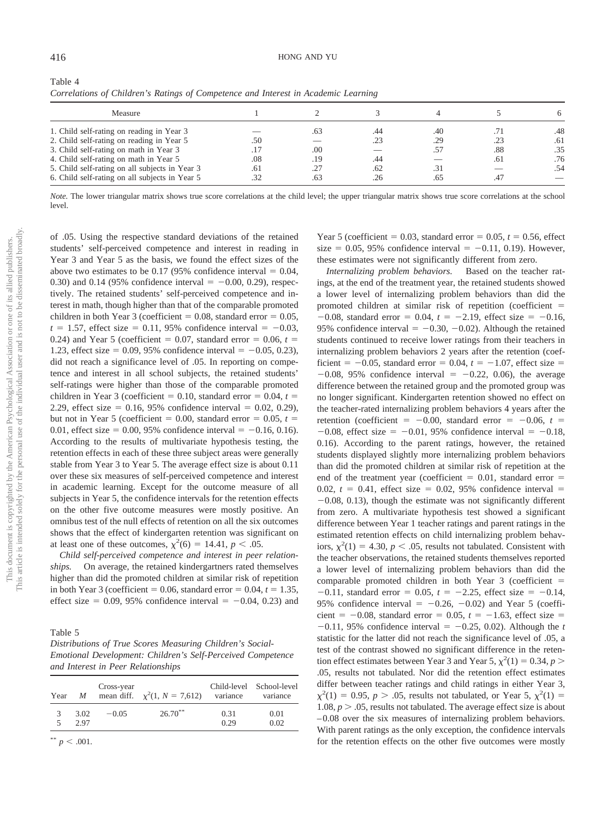| Corretations of Children s Rathligs of Competence and Interest in Heademic Learning |     |     |     |     |     |  |  |  |  |
|-------------------------------------------------------------------------------------|-----|-----|-----|-----|-----|--|--|--|--|
|                                                                                     |     |     |     |     | 6.  |  |  |  |  |
|                                                                                     | .63 | .44 | .40 |     | .48 |  |  |  |  |
| .50                                                                                 |     |     | .29 |     | .61 |  |  |  |  |
|                                                                                     | .00 |     | .57 | .88 | .35 |  |  |  |  |
| .08                                                                                 | .19 | .44 |     | .61 | .76 |  |  |  |  |
| .61                                                                                 | .27 | .62 | .31 |     | .54 |  |  |  |  |
| .32                                                                                 | .63 | .26 | .65 | .47 |     |  |  |  |  |
|                                                                                     |     |     |     |     |     |  |  |  |  |

Table 4 *Correlations of Children's Ratings of Competence and Interest in Academic Learning*

*Note.* The lower triangular matrix shows true score correlations at the child level; the upper triangular matrix shows true score correlations at the school level.

of .05. Using the respective standard deviations of the retained students' self-perceived competence and interest in reading in Year 3 and Year 5 as the basis, we found the effect sizes of the above two estimates to be 0.17 (95% confidence interval  $= 0.04$ . 0.30) and 0.14 (95% confidence interval  $= -0.00, 0.29$ ), respectively. The retained students' self-perceived competence and interest in math, though higher than that of the comparable promoted children in both Year 3 (coefficient  $= 0.08$ , standard error  $= 0.05$ ,  $t = 1.57$ , effect size = 0.11, 95% confidence interval =  $-0.03$ , 0.24) and Year 5 (coefficient  $= 0.07$ , standard error  $= 0.06$ ,  $t =$ 1.23, effect size = 0.09, 95% confidence interval =  $-0.05$ , 0.23), did not reach a significance level of .05. In reporting on competence and interest in all school subjects, the retained students' self-ratings were higher than those of the comparable promoted children in Year 3 (coefficient  $= 0.10$ , standard error  $= 0.04$ ,  $t =$ 2.29, effect size =  $0.16$ , 95% confidence interval = 0.02, 0.29), but not in Year 5 (coefficient  $= 0.00$ , standard error  $= 0.05$ ,  $t =$ 0.01, effect size = 0.00, 95% confidence interval =  $-0.16$ , 0.16). According to the results of multivariate hypothesis testing, the retention effects in each of these three subject areas were generally stable from Year 3 to Year 5. The average effect size is about 0.11 over these six measures of self-perceived competence and interest in academic learning. Except for the outcome measure of all subjects in Year 5, the confidence intervals for the retention effects on the other five outcome measures were mostly positive. An omnibus test of the null effects of retention on all the six outcomes shows that the effect of kindergarten retention was significant on at least one of these outcomes,  $\chi^2(6) = 14.41$ ,  $p < .05$ .

*Child self-perceived competence and interest in peer relationships.* On average, the retained kindergartners rated themselves higher than did the promoted children at similar risk of repetition in both Year 3 (coefficient  $= 0.06$ , standard error  $= 0.04$ ,  $t = 1.35$ , effect size = 0.09, 95% confidence interval =  $-0.04$ , 0.23) and

#### Table 5

*Distributions of True Scores Measuring Children's Social-Emotional Development: Children's Self-Perceived Competence and Interest in Peer Relationships*

| Year | M            | Cross-year | mean diff. $\chi^2(1, N = 7,612)$ | variance     | Child-level School-level<br>variance |
|------|--------------|------------|-----------------------------------|--------------|--------------------------------------|
|      | 3.02<br>2.97 | $-0.05$    | $26.70**$                         | 0.31<br>0.29 | 0.01<br>0.02                         |

\*\*  $p < .001$ .

Year 5 (coefficient  $= 0.03$ , standard error  $= 0.05$ ,  $t = 0.56$ , effect size = 0.05, 95% confidence interval =  $-0.11$ , 0.19). However, these estimates were not significantly different from zero.

*Internalizing problem behaviors.* Based on the teacher ratings, at the end of the treatment year, the retained students showed a lower level of internalizing problem behaviors than did the promoted children at similar risk of repetition (coefficient  $-0.08$ , standard error = 0.04,  $t = -2.19$ , effect size =  $-0.16$ , 95% confidence interval =  $-0.30, -0.02$ ). Although the retained students continued to receive lower ratings from their teachers in internalizing problem behaviors 2 years after the retention (coefficient  $= -0.05$ , standard error  $= 0.04$ ,  $t = -1.07$ , effect size  $=$  $-0.08$ , 95% confidence interval =  $-0.22$ , 0.06), the average difference between the retained group and the promoted group was no longer significant. Kindergarten retention showed no effect on the teacher-rated internalizing problem behaviors 4 years after the retention (coefficient =  $-0.00$ , standard error =  $-0.06$ ,  $t =$  $-0.08$ , effect size =  $-0.01$ , 95% confidence interval =  $-0.18$ , 0.16). According to the parent ratings, however, the retained students displayed slightly more internalizing problem behaviors than did the promoted children at similar risk of repetition at the end of the treatment year (coefficient  $= 0.01$ , standard error  $=$ 0.02,  $t = 0.41$ , effect size = 0.02, 95% confidence interval = -0.08, 0.13), though the estimate was not significantly different from zero. A multivariate hypothesis test showed a significant difference between Year 1 teacher ratings and parent ratings in the estimated retention effects on child internalizing problem behaviors,  $\chi^2(1) = 4.30$ ,  $p < .05$ , results not tabulated. Consistent with the teacher observations, the retained students themselves reported a lower level of internalizing problem behaviors than did the comparable promoted children in both Year 3 (coefficient  $-0.11$ , standard error = 0.05,  $t = -2.25$ , effect size =  $-0.14$ , 95% confidence interval  $= -0.26, -0.02$  and Year 5 (coefficient =  $-0.08$ , standard error = 0.05,  $t = -1.63$ , effect size =  $-0.11$ , 95% confidence interval =  $-0.25$ , 0.02). Although the *t* statistic for the latter did not reach the significance level of .05, a test of the contrast showed no significant difference in the retention effect estimates between Year 3 and Year 5,  $\chi^2(1) = 0.34$ ,  $p >$ .05, results not tabulated. Nor did the retention effect estimates differ between teacher ratings and child ratings in either Year 3,  $\chi^2(1) = 0.95, p > .05$ , results not tabulated, or Year 5,  $\chi^2(1) =$ 1.08,  $p > 0.05$ , results not tabulated. The average effect size is about – 0.08 over the six measures of internalizing problem behaviors. With parent ratings as the only exception, the confidence intervals for the retention effects on the other five outcomes were mostly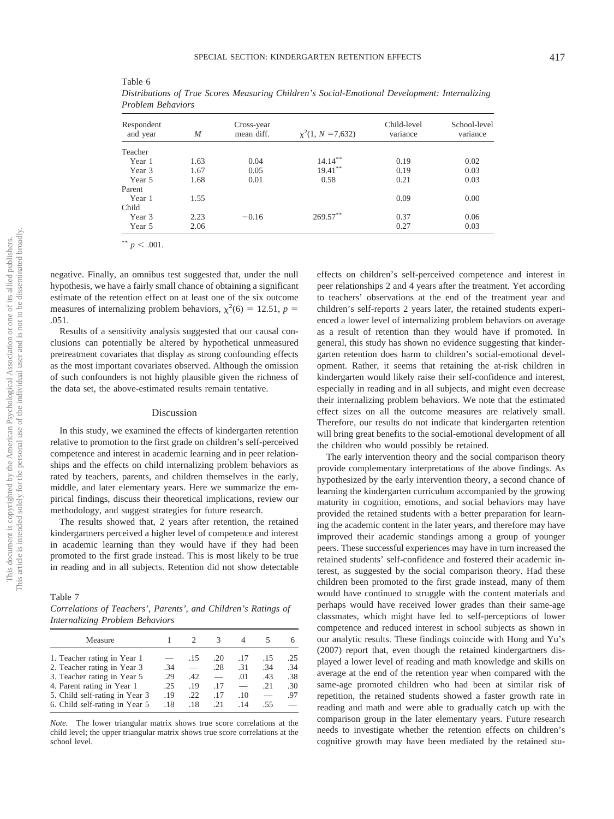| Respondent<br>and year | $\overline{M}$ | Cross-year<br>mean diff. | $\chi^2(1, N = 7,632)$ | Child-level<br>variance | School-level<br>variance |
|------------------------|----------------|--------------------------|------------------------|-------------------------|--------------------------|
|                        |                |                          |                        |                         |                          |
| Teacher                |                |                          |                        |                         |                          |
| Year 1                 | 1.63           | 0.04                     | $14.14***$             | 0.19                    | 0.02                     |
| Year 3                 | 1.67           | 0.05                     | $19.41***$             | 0.19                    | 0.03                     |
| Year 5                 | 1.68           | 0.01                     | 0.58                   | 0.21                    | 0.03                     |
| Parent                 |                |                          |                        |                         |                          |
| Year 1                 | 1.55           |                          |                        | 0.09                    | 0.00                     |
| Child                  |                |                          |                        |                         |                          |
| Year 3                 | 2.23           | $-0.16$                  | $269.57***$            | 0.37                    | 0.06                     |
| Year 5                 | 2.06           |                          |                        | 0.27                    | 0.03                     |

Table 6 *Distributions of True Scores Measuring Children's Social-Emotional Development: Internalizing Problem Behaviors*

 $*$  *p* < .001.

negative. Finally, an omnibus test suggested that, under the null hypothesis, we have a fairly small chance of obtaining a significant estimate of the retention effect on at least one of the six outcome measures of internalizing problem behaviors,  $\chi^2(6) = 12.51$ ,  $p =$ .051.

Results of a sensitivity analysis suggested that our causal conclusions can potentially be altered by hypothetical unmeasured pretreatment covariates that display as strong confounding effects as the most important covariates observed. Although the omission of such confounders is not highly plausible given the richness of the data set, the above-estimated results remain tentative.

# Discussion

In this study, we examined the effects of kindergarten retention relative to promotion to the first grade on children's self-perceived competence and interest in academic learning and in peer relationships and the effects on child internalizing problem behaviors as rated by teachers, parents, and children themselves in the early, middle, and later elementary years. Here we summarize the empirical findings, discuss their theoretical implications, review our methodology, and suggest strategies for future research.

The results showed that, 2 years after retention, the retained kindergartners perceived a higher level of competence and interest in academic learning than they would have if they had been promoted to the first grade instead. This is most likely to be true in reading and in all subjects. Retention did not show detectable

Table 7

*Correlations of Teachers', Parents', and Children's Ratings of Internalizing Problem Behaviors*

| Measure                        |     |     | 3   |                          |     |     |
|--------------------------------|-----|-----|-----|--------------------------|-----|-----|
| 1. Teacher rating in Year 1    |     | .15 | .20 | .17                      | .15 | .25 |
| 2. Teacher rating in Year 3    | .34 |     | .28 | .31                      | .34 | .34 |
| 3. Teacher rating in Year 5    | .29 | .42 |     | .01                      | .43 | .38 |
| 4. Parent rating in Year 1     | .25 | .19 | .17 | $\overline{\phantom{a}}$ | .21 | .30 |
| 5. Child self-rating in Year 3 | .19 | .22 | .17 | .10                      |     | .97 |
| 6. Child self-rating in Year 5 | .18 | .18 | .21 | 14                       | .55 |     |
|                                |     |     |     |                          |     |     |

*Note.* The lower triangular matrix shows true score correlations at the child level; the upper triangular matrix shows true score correlations at the school level.

effects on children's self-perceived competence and interest in peer relationships 2 and 4 years after the treatment. Yet according to teachers' observations at the end of the treatment year and children's self-reports 2 years later, the retained students experienced a lower level of internalizing problem behaviors on average as a result of retention than they would have if promoted. In general, this study has shown no evidence suggesting that kindergarten retention does harm to children's social-emotional development. Rather, it seems that retaining the at-risk children in kindergarten would likely raise their self-confidence and interest, especially in reading and in all subjects, and might even decrease their internalizing problem behaviors. We note that the estimated effect sizes on all the outcome measures are relatively small. Therefore, our results do not indicate that kindergarten retention will bring great benefits to the social-emotional development of all the children who would possibly be retained.

The early intervention theory and the social comparison theory provide complementary interpretations of the above findings. As hypothesized by the early intervention theory, a second chance of learning the kindergarten curriculum accompanied by the growing maturity in cognition, emotions, and social behaviors may have provided the retained students with a better preparation for learning the academic content in the later years, and therefore may have improved their academic standings among a group of younger peers. These successful experiences may have in turn increased the retained students' self-confidence and fostered their academic interest, as suggested by the social comparison theory. Had these children been promoted to the first grade instead, many of them would have continued to struggle with the content materials and perhaps would have received lower grades than their same-age classmates, which might have led to self-perceptions of lower competence and reduced interest in school subjects as shown in our analytic results. These findings coincide with Hong and Yu's (2007) report that, even though the retained kindergartners displayed a lower level of reading and math knowledge and skills on average at the end of the retention year when compared with the same-age promoted children who had been at similar risk of repetition, the retained students showed a faster growth rate in reading and math and were able to gradually catch up with the comparison group in the later elementary years. Future research needs to investigate whether the retention effects on children's cognitive growth may have been mediated by the retained stu-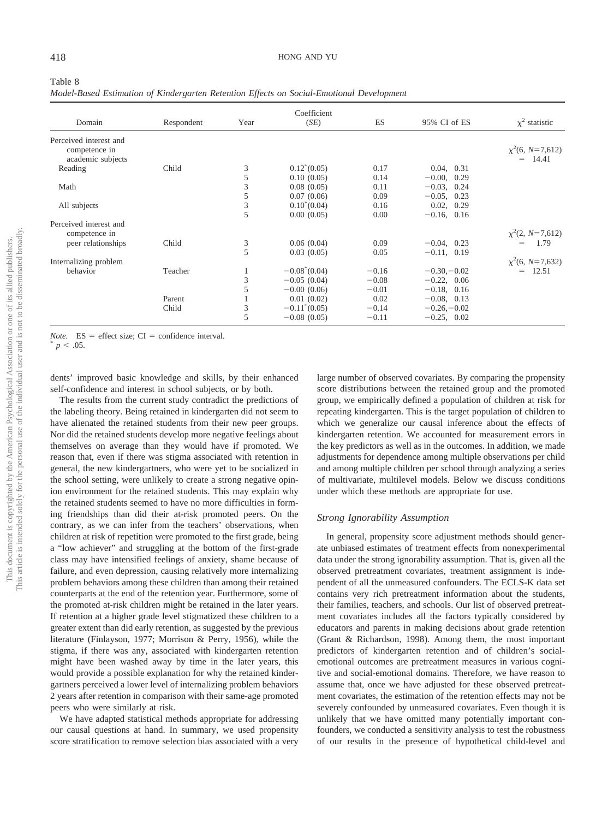| Table 8                                                                                  |  |  |  |  |
|------------------------------------------------------------------------------------------|--|--|--|--|
| Model-Based Estimation of Kindergarten Retention Effects on Social-Emotional Development |  |  |  |  |

| Domain                                  | Respondent | Year | Coefficient<br>(SE) | ES      | 95% CI of ES      | $\chi^2$ statistic   |
|-----------------------------------------|------------|------|---------------------|---------|-------------------|----------------------|
|                                         |            |      |                     |         |                   |                      |
| Perceived interest and<br>competence in |            |      |                     |         |                   | $\chi^2(6, N=7,612)$ |
| academic subjects                       |            |      |                     |         |                   | $= 14.41$            |
| Reading                                 | Child      | 3    | $0.12^*(0.05)$      | 0.17    | 0.04, 0.31        |                      |
|                                         |            | 5    | 0.10(0.05)          | 0.14    | $-0.00,$<br>0.29  |                      |
| Math                                    |            | 3    | 0.08(0.05)          | 0.11    | $-0.03,$<br>0.24  |                      |
|                                         |            |      |                     |         |                   |                      |
|                                         |            | 5    | 0.07(0.06)          | 0.09    | $-0.05$ .<br>0.23 |                      |
| All subjects                            |            | 3    | $0.10^{*}(0.04)$    | 0.16    | 0.02, 0.29        |                      |
|                                         |            | 5    | 0.00(0.05)          | 0.00    | $-0.16, 0.16$     |                      |
| Perceived interest and                  |            |      |                     |         |                   |                      |
| competence in                           |            |      |                     |         |                   | $\chi^2(2, N=7,612)$ |
| peer relationships                      | Child      | 3    | 0.06(0.04)          | 0.09    | $-0.04, 0.23$     | 1.79<br>$=$          |
|                                         |            | 5    | 0.03(0.05)          | 0.05    | $-0.11, 0.19$     |                      |
| Internalizing problem                   |            |      |                     |         |                   | $\chi^2(6, N=7,632)$ |
| behavior                                | Teacher    |      | $-0.08^*(0.04)$     | $-0.16$ | $-0.30,-0.02$     | 12.51<br>$=$         |
|                                         |            | 3    | $-0.05(0.04)$       | $-0.08$ | $-0.22, 0.06$     |                      |
|                                         |            | 5    | $-0.00(0.06)$       | $-0.01$ | $-0.18$ , 0.16    |                      |
|                                         | Parent     |      | 0.01(0.02)          | 0.02    | $-0.08, 0.13$     |                      |
|                                         |            |      |                     |         |                   |                      |
|                                         | Child      | 3    | $-0.11^*(0.05)$     | $-0.14$ | $-0.26 - 0.02$    |                      |
|                                         |            | 5    | $-0.08(0.05)$       | $-0.11$ | $-0.25, 0.02$     |                      |

*Note.* ES = effect size; CI = confidence interval. \*  $p < .05$ .

dents' improved basic knowledge and skills, by their enhanced self-confidence and interest in school subjects, or by both.

The results from the current study contradict the predictions of the labeling theory. Being retained in kindergarten did not seem to have alienated the retained students from their new peer groups. Nor did the retained students develop more negative feelings about themselves on average than they would have if promoted. We reason that, even if there was stigma associated with retention in general, the new kindergartners, who were yet to be socialized in the school setting, were unlikely to create a strong negative opinion environment for the retained students. This may explain why the retained students seemed to have no more difficulties in forming friendships than did their at-risk promoted peers. On the contrary, as we can infer from the teachers' observations, when children at risk of repetition were promoted to the first grade, being a "low achiever" and struggling at the bottom of the first-grade class may have intensified feelings of anxiety, shame because of failure, and even depression, causing relatively more internalizing problem behaviors among these children than among their retained counterparts at the end of the retention year. Furthermore, some of the promoted at-risk children might be retained in the later years. If retention at a higher grade level stigmatized these children to a greater extent than did early retention, as suggested by the previous literature (Finlayson, 1977; Morrison & Perry, 1956), while the stigma, if there was any, associated with kindergarten retention might have been washed away by time in the later years, this would provide a possible explanation for why the retained kindergartners perceived a lower level of internalizing problem behaviors 2 years after retention in comparison with their same-age promoted peers who were similarly at risk.

We have adapted statistical methods appropriate for addressing our causal questions at hand. In summary, we used propensity score stratification to remove selection bias associated with a very large number of observed covariates. By comparing the propensity score distributions between the retained group and the promoted group, we empirically defined a population of children at risk for repeating kindergarten. This is the target population of children to which we generalize our causal inference about the effects of kindergarten retention. We accounted for measurement errors in the key predictors as well as in the outcomes. In addition, we made adjustments for dependence among multiple observations per child and among multiple children per school through analyzing a series of multivariate, multilevel models. Below we discuss conditions under which these methods are appropriate for use.

## *Strong Ignorability Assumption*

In general, propensity score adjustment methods should generate unbiased estimates of treatment effects from nonexperimental data under the strong ignorability assumption. That is, given all the observed pretreatment covariates, treatment assignment is independent of all the unmeasured confounders. The ECLS-K data set contains very rich pretreatment information about the students, their families, teachers, and schools. Our list of observed pretreatment covariates includes all the factors typically considered by educators and parents in making decisions about grade retention (Grant & Richardson, 1998). Among them, the most important predictors of kindergarten retention and of children's socialemotional outcomes are pretreatment measures in various cognitive and social-emotional domains. Therefore, we have reason to assume that, once we have adjusted for these observed pretreatment covariates, the estimation of the retention effects may not be severely confounded by unmeasured covariates. Even though it is unlikely that we have omitted many potentially important confounders, we conducted a sensitivity analysis to test the robustness of our results in the presence of hypothetical child-level and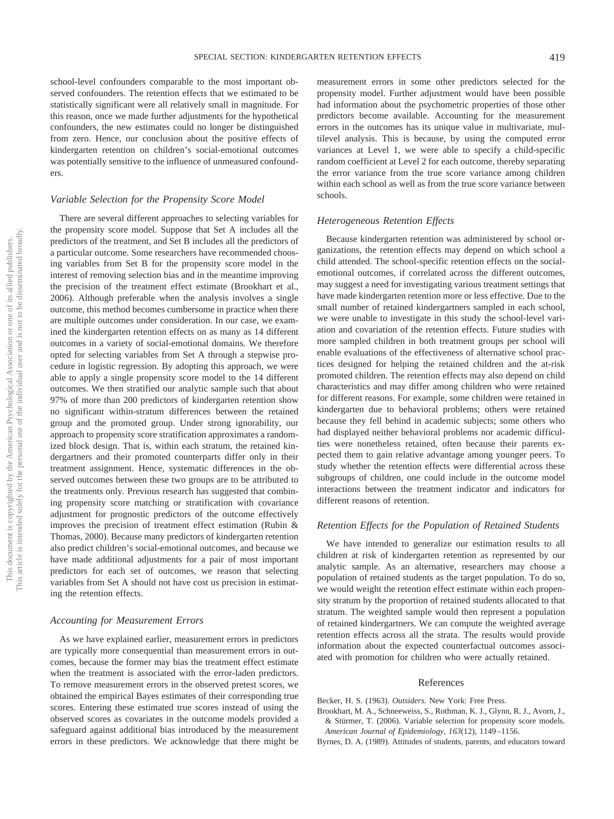school-level confounders comparable to the most important observed confounders. The retention effects that we estimated to be statistically significant were all relatively small in magnitude. For this reason, once we made further adjustments for the hypothetical confounders, the new estimates could no longer be distinguished from zero. Hence, our conclusion about the positive effects of kindergarten retention on children's social-emotional outcomes was potentially sensitive to the influence of unmeasured confounders.

# *Variable Selection for the Propensity Score Model*

There are several different approaches to selecting variables for the propensity score model. Suppose that Set A includes all the predictors of the treatment, and Set B includes all the predictors of a particular outcome. Some researchers have recommended choosing variables from Set B for the propensity score model in the interest of removing selection bias and in the meantime improving the precision of the treatment effect estimate (Brookhart et al., 2006). Although preferable when the analysis involves a single outcome, this method becomes cumbersome in practice when there are multiple outcomes under consideration. In our case, we examined the kindergarten retention effects on as many as 14 different outcomes in a variety of social-emotional domains. We therefore opted for selecting variables from Set A through a stepwise procedure in logistic regression. By adopting this approach, we were able to apply a single propensity score model to the 14 different outcomes. We then stratified our analytic sample such that about 97% of more than 200 predictors of kindergarten retention show no significant within-stratum differences between the retained group and the promoted group. Under strong ignorability, our approach to propensity score stratification approximates a randomized block design. That is, within each stratum, the retained kindergartners and their promoted counterparts differ only in their treatment assignment. Hence, systematic differences in the observed outcomes between these two groups are to be attributed to the treatments only. Previous research has suggested that combining propensity score matching or stratification with covariance adjustment for prognostic predictors of the outcome effectively improves the precision of treatment effect estimation (Rubin & Thomas, 2000). Because many predictors of kindergarten retention also predict children's social-emotional outcomes, and because we have made additional adjustments for a pair of most important predictors for each set of outcomes, we reason that selecting variables from Set A should not have cost us precision in estimating the retention effects.

# *Accounting for Measurement Errors*

As we have explained earlier, measurement errors in predictors are typically more consequential than measurement errors in outcomes, because the former may bias the treatment effect estimate when the treatment is associated with the error-laden predictors. To remove measurement errors in the observed pretest scores, we obtained the empirical Bayes estimates of their corresponding true scores. Entering these estimated true scores instead of using the observed scores as covariates in the outcome models provided a safeguard against additional bias introduced by the measurement errors in these predictors. We acknowledge that there might be measurement errors in some other predictors selected for the propensity model. Further adjustment would have been possible had information about the psychometric properties of those other predictors become available. Accounting for the measurement errors in the outcomes has its unique value in multivariate, multilevel analysis. This is because, by using the computed error variances at Level 1, we were able to specify a child-specific random coefficient at Level 2 for each outcome, thereby separating the error variance from the true score variance among children within each school as well as from the true score variance between schools.

# *Heterogeneous Retention Effects*

Because kindergarten retention was administered by school organizations, the retention effects may depend on which school a child attended. The school-specific retention effects on the socialemotional outcomes, if correlated across the different outcomes, may suggest a need for investigating various treatment settings that have made kindergarten retention more or less effective. Due to the small number of retained kindergartners sampled in each school, we were unable to investigate in this study the school-level variation and covariation of the retention effects. Future studies with more sampled children in both treatment groups per school will enable evaluations of the effectiveness of alternative school practices designed for helping the retained children and the at-risk promoted children. The retention effects may also depend on child characteristics and may differ among children who were retained for different reasons. For example, some children were retained in kindergarten due to behavioral problems; others were retained because they fell behind in academic subjects; some others who had displayed neither behavioral problems nor academic difficulties were nonetheless retained, often because their parents expected them to gain relative advantage among younger peers. To study whether the retention effects were differential across these subgroups of children, one could include in the outcome model interactions between the treatment indicator and indicators for different reasons of retention.

# *Retention Effects for the Population of Retained Students*

We have intended to generalize our estimation results to all children at risk of kindergarten retention as represented by our analytic sample. As an alternative, researchers may choose a population of retained students as the target population. To do so, we would weight the retention effect estimate within each propensity stratum by the proportion of retained students allocated to that stratum. The weighted sample would then represent a population of retained kindergartners. We can compute the weighted average retention effects across all the strata. The results would provide information about the expected counterfactual outcomes associated with promotion for children who were actually retained.

#### References

- Becker, H. S. (1963). *Outsiders.* New York: Free Press.
- Brookhart, M. A., Schneeweiss, S., Rothman, K. J., Glynn, R. J., Avorn, J., & Stürmer, T. (2006). Variable selection for propensity score models. *American Journal of Epidemiology, 163*(12), 1149 –1156.
- Byrnes, D. A. (1989). Attitudes of students, parents, and educators toward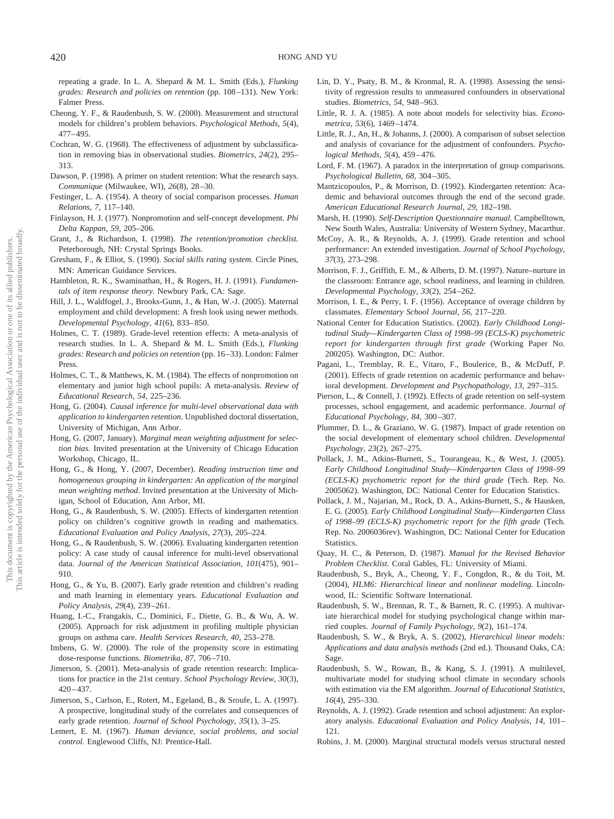repeating a grade. In L. A. Shepard & M. L. Smith (Eds.), *Flunking grades: Research and policies on retention* (pp. 108 –131). New York: Falmer Press.

- Cheong, Y. F., & Raudenbush, S. W. (2000). Measurement and structural models for children's problem behaviors. *Psychological Methods, 5*(4), 477– 495.
- Cochran, W. G. (1968). The effectiveness of adjustment by subclassification in removing bias in observational studies. *Biometrics, 24*(2), 295– 313.
- Dawson, P. (1998). A primer on student retention: What the research says. *Communique* (Milwaukee, WI), *26*(8), 28 –30.
- Festinger, L. A. (1954). A theory of social comparison processes. *Human Relations, 7,* 117–140.
- Finlayson, H. J. (1977). Nonpromotion and self-concept development. *Phi Delta Kappan, 59,* 205–206.
- Grant, J., & Richardson, I. (1998). *The retention/promotion checklist.* Peterborough, NH: Crystal Springs Books.
- Gresham, F., & Elliot, S. (1990). *Social skills rating system.* Circle Pines, MN: American Guidance Services.
- Hambleton, R. K., Swaminathan, H., & Rogers, H. J. (1991). *Fundamentals of item response theory.* Newbury Park, CA: Sage.
- Hill, J. L., Waldfogel, J., Brooks-Gunn, J., & Han, W.-J. (2005). Maternal employment and child development: A fresh look using newer methods. *Developmental Psychology, 41*(6), 833– 850.
- Holmes, C. T. (1989). Grade-level retention effects: A meta-analysis of research studies. In L. A. Shepard & M. L. Smith (Eds.), *Flunking grades: Research and policies on retention* (pp. 16 –33). London: Falmer Press.
- Holmes, C. T., & Matthews, K. M. (1984). The effects of nonpromotion on elementary and junior high school pupils: A meta-analysis. *Review of Educational Research, 54,* 225–236.
- Hong, G. (2004). *Causal inference for multi-level observational data with application to kindergarten retention*. Unpublished doctoral dissertation, University of Michigan, Ann Arbor.
- Hong, G. (2007, January). *Marginal mean weighting adjustment for selection bias*. Invited presentation at the University of Chicago Education Workshop, Chicago, IL.
- Hong, G., & Hong, Y. (2007, December). *Reading instruction time and homogeneous grouping in kindergarten: An application of the marginal mean weighting method*. Invited presentation at the University of Michigan, School of Education, Ann Arbor, MI.
- Hong, G., & Raudenbush, S. W. (2005). Effects of kindergarten retention policy on children's cognitive growth in reading and mathematics. *Educational Evaluation and Policy Analysis, 27*(3), 205–224.
- Hong, G., & Raudenbush, S. W. (2006). Evaluating kindergarten retention policy: A case study of causal inference for multi-level observational data. *Journal of the American Statistical Association, 101*(475), 901– 910.
- Hong, G., & Yu, B. (2007). Early grade retention and children's reading and math learning in elementary years. *Educational Evaluation and Policy Analysis, 29*(4), 239 –261.
- Huang, I.-C., Frangakis, C., Dominici, F., Diette, G. B., & Wu, A. W. (2005). Approach for risk adjustment in profiling multiple physician groups on asthma care. *Health Services Research, 40,* 253–278.
- Imbens, G. W. (2000). The role of the propensity score in estimating dose-response functions. *Biometrika, 87,* 706 –710.
- Jimerson, S. (2001). Meta-analysis of grade retention research: Implications for practice in the 21st century. *School Psychology Review, 30*(3),  $420 - 437$ .
- Jimerson, S., Carlson, E., Rotert, M., Egeland, B., & Sroufe, L. A. (1997). A prospective, longitudinal study of the correlates and consequences of early grade retention. *Journal of School Psychology, 35*(1), 3–25.
- Lemert, E. M. (1967). *Human deviance, social problems, and social control.* Englewood Cliffs, NJ: Prentice-Hall.
- Lin, D. Y., Psaty, B. M., & Kronmal, R. A. (1998). Assessing the sensitivity of regression results to unmeasured confounders in observational studies. *Biometrics, 54,* 948 –963.
- Little, R. J. A. (1985). A note about models for selectivity bias. *Econometrica, 53*(6), 1469 –1474.
- Little, R. J., An, H., & Johanns, J. (2000). A comparison of subset selection and analysis of covariance for the adjustment of confounders. *Psychological Methods, 5*(4), 459 – 476.
- Lord, F. M. (1967). A paradox in the interpretation of group comparisons. *Psychological Bulletin, 68,* 304 –305.
- Mantzicopoulos, P., & Morrison, D. (1992). Kindergarten retention: Academic and behavioral outcomes through the end of the second grade. *American Educational Research Journal, 29,* 182–198.
- Marsh, H. (1990). *Self-Description Questionnaire manual.* Campbelltown, New South Wales, Australia: University of Western Sydney, Macarthur.
- McCoy, A. R., & Reynolds, A. J. (1999). Grade retention and school performance: An extended investigation. *Journal of School Psychology, 37*(3), 273–298.
- Morrison, F. J., Griffith, E. M., & Alberts, D. M. (1997). Nature–nurture in the classroom: Entrance age, school readiness, and learning in children. *Developmental Psychology, 33*(2), 254 –262.
- Morrison, I. E., & Perry, I. F. (1956). Acceptance of overage children by classmates. *Elementary School Journal, 56,* 217–220.
- National Center for Education Statistics. (2002). *Early Childhood Longitudinal Study—Kindergarten Class of 1998*–*99 (ECLS-K) psychometric report for kindergarten through first grade* (Working Paper No. 200205). Washington, DC: Author.
- Pagani, L., Tremblay, R. E., Vitaro, F., Boulerice, B., & McDuff, P. (2001). Effects of grade retention on academic performance and behavioral development. *Development and Psychopathology, 13,* 297–315.
- Pierson, L., & Connell, J. (1992). Effects of grade retention on self-system processes, school engagement, and academic performance. *Journal of Educational Psychology, 84,* 300 –307.
- Plummer, D. L., & Graziano, W. G. (1987). Impact of grade retention on the social development of elementary school children. *Developmental Psychology, 23*(2), 267–275.
- Pollack, J. M., Atkins-Burnett, S., Tourangeau, K., & West, J. (2005). *Early Childhood Longitudinal Study—Kindergarten Class of 1998*–*99 (ECLS-K) psychometric report for the third grade* (Tech. Rep. No. 2005062). Washington, DC: National Center for Education Statistics.
- Pollack, J. M., Najarian, M., Rock, D. A., Atkins-Burnett, S., & Hausken, E. G. (2005). *Early Childhood Longitudinal Study—Kindergarten Class of 1998*–*99 (ECLS-K) psychometric report for the fifth grade* (Tech. Rep. No. 2006036rev). Washington, DC: National Center for Education Statistics.
- Quay, H. C., & Peterson, D. (1987). *Manual for the Revised Behavior Problem Checklist.* Coral Gables, FL: University of Miami.
- Raudenbush, S., Bryk, A., Cheong, Y. F., Congdon, R., & du Toit, M. (2004), *HLM6: Hierarchical linear and nonlinear modeling.* Lincolnwood, IL: Scientific Software International.
- Raudenbush, S. W., Brennan, R. T., & Barnett, R. C. (1995). A multivariate hierarchical model for studying psychological change within married couples. *Journal of Family Psychology, 9*(2), 161–174.
- Raudenbush, S. W., & Bryk, A. S. (2002), *Hierarchical linear models: Applications and data analysis methods* (2nd ed.). Thousand Oaks, CA: Sage.
- Raudenbush, S. W., Rowan, B., & Kang, S. J. (1991). A multilevel, multivariate model for studying school climate in secondary schools with estimation via the EM algorithm. *Journal of Educational Statistics, 16*(4), 295–330.
- Reynolds, A. J. (1992). Grade retention and school adjustment: An exploratory analysis. *Educational Evaluation and Policy Analysis, 14,* 101– 121.
- Robins, J. M. (2000). Marginal structural models versus structural nested